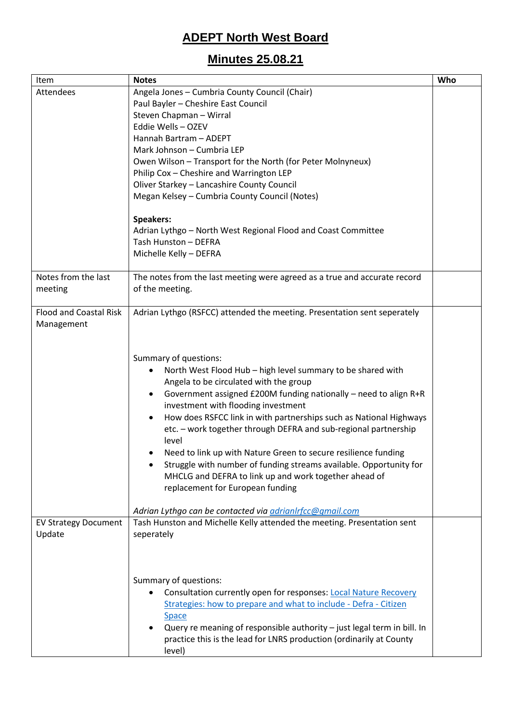## **ADEPT North West Board**

## **Minutes 25.08.21**

| Item                          | <b>Notes</b>                                                              | Who |
|-------------------------------|---------------------------------------------------------------------------|-----|
| Attendees                     | Angela Jones - Cumbria County Council (Chair)                             |     |
|                               | Paul Bayler - Cheshire East Council                                       |     |
|                               | Steven Chapman - Wirral                                                   |     |
|                               | Eddie Wells - OZEV                                                        |     |
|                               | Hannah Bartram - ADEPT                                                    |     |
|                               | Mark Johnson - Cumbria LEP                                                |     |
|                               | Owen Wilson - Transport for the North (for Peter Molnyneux)               |     |
|                               | Philip Cox - Cheshire and Warrington LEP                                  |     |
|                               | Oliver Starkey - Lancashire County Council                                |     |
|                               | Megan Kelsey - Cumbria County Council (Notes)                             |     |
|                               |                                                                           |     |
|                               | <b>Speakers:</b>                                                          |     |
|                               | Adrian Lythgo - North West Regional Flood and Coast Committee             |     |
|                               | Tash Hunston - DEFRA                                                      |     |
|                               | Michelle Kelly - DEFRA                                                    |     |
|                               |                                                                           |     |
| Notes from the last           | The notes from the last meeting were agreed as a true and accurate record |     |
| meeting                       | of the meeting.                                                           |     |
|                               |                                                                           |     |
| <b>Flood and Coastal Risk</b> | Adrian Lythgo (RSFCC) attended the meeting. Presentation sent seperately  |     |
| Management                    |                                                                           |     |
|                               |                                                                           |     |
|                               |                                                                           |     |
|                               | Summary of questions:                                                     |     |
|                               | North West Flood Hub - high level summary to be shared with               |     |
|                               | Angela to be circulated with the group                                    |     |
|                               | Government assigned £200M funding nationally - need to align R+R<br>٠     |     |
|                               | investment with flooding investment                                       |     |
|                               | How does RSFCC link in with partnerships such as National Highways        |     |
|                               | etc. - work together through DEFRA and sub-regional partnership           |     |
|                               | level                                                                     |     |
|                               | Need to link up with Nature Green to secure resilience funding            |     |
|                               | Struggle with number of funding streams available. Opportunity for        |     |
|                               | MHCLG and DEFRA to link up and work together ahead of                     |     |
|                               | replacement for European funding                                          |     |
|                               |                                                                           |     |
|                               | Adrian Lythgo can be contacted via adrianlrfcc@gmail.com                  |     |
| <b>EV Strategy Document</b>   | Tash Hunston and Michelle Kelly attended the meeting. Presentation sent   |     |
| Update                        | seperately                                                                |     |
|                               |                                                                           |     |
|                               |                                                                           |     |
|                               |                                                                           |     |
|                               | Summary of questions:                                                     |     |
|                               | Consultation currently open for responses: <b>Local Nature Recovery</b>   |     |
|                               | Strategies: how to prepare and what to include - Defra - Citizen          |     |
|                               | <b>Space</b>                                                              |     |
|                               | Query re meaning of responsible authority - just legal term in bill. In   |     |
|                               | practice this is the lead for LNRS production (ordinarily at County       |     |
|                               | level)                                                                    |     |